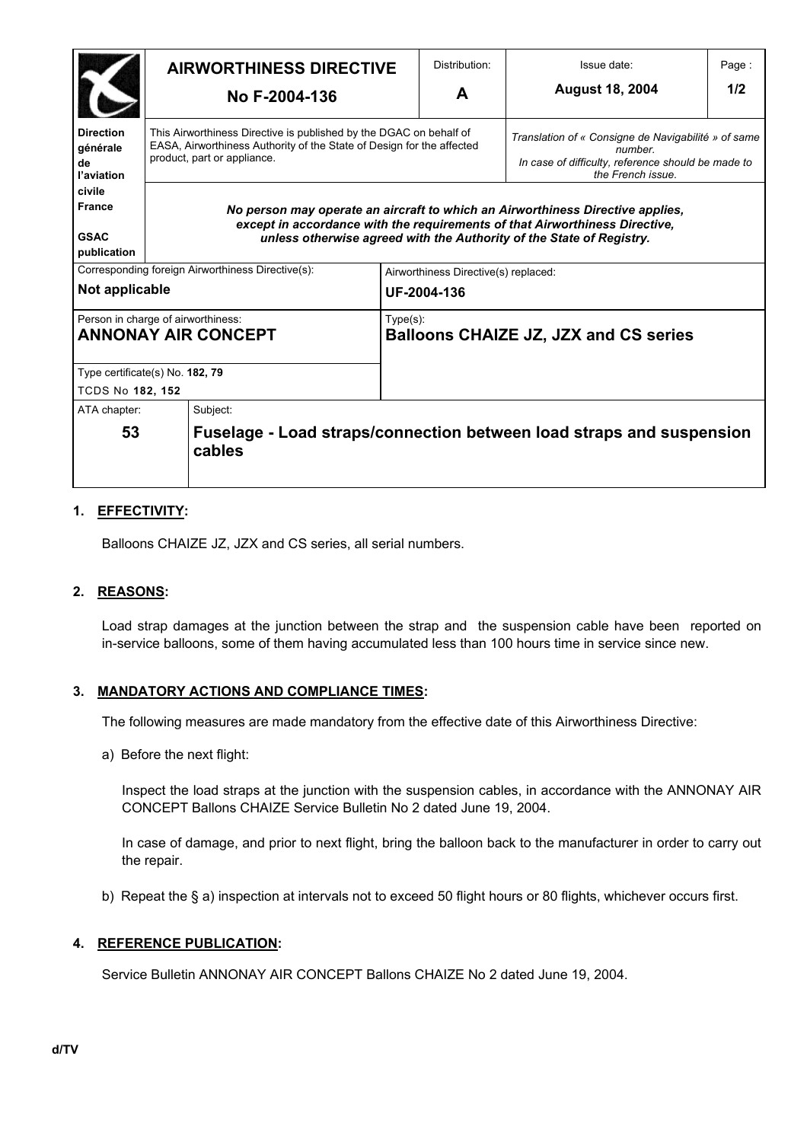|                                                                  | <b>AIRWORTHINESS DIRECTIVE</b><br>No F-2004-136                                                                                                                            |                                                                                                                                                                                                                                       | Distribution:                                               | Issue date: | Page:                                                                                                                                     |     |
|------------------------------------------------------------------|----------------------------------------------------------------------------------------------------------------------------------------------------------------------------|---------------------------------------------------------------------------------------------------------------------------------------------------------------------------------------------------------------------------------------|-------------------------------------------------------------|-------------|-------------------------------------------------------------------------------------------------------------------------------------------|-----|
|                                                                  |                                                                                                                                                                            |                                                                                                                                                                                                                                       |                                                             | A           | <b>August 18, 2004</b>                                                                                                                    | 1/2 |
| <b>Direction</b><br>générale<br>de<br>l'aviation                 | This Airworthiness Directive is published by the DGAC on behalf of<br>EASA, Airworthiness Authority of the State of Design for the affected<br>product, part or appliance. |                                                                                                                                                                                                                                       |                                                             |             | Translation of « Consigne de Navigabilité » of same<br>number.<br>In case of difficulty, reference should be made to<br>the French issue. |     |
| civile<br><b>France</b><br><b>GSAC</b><br>publication            |                                                                                                                                                                            | No person may operate an aircraft to which an Airworthiness Directive applies,<br>except in accordance with the requirements of that Airworthiness Directive,<br>unless otherwise agreed with the Authority of the State of Registry. |                                                             |             |                                                                                                                                           |     |
| Corresponding foreign Airworthiness Directive(s):                |                                                                                                                                                                            |                                                                                                                                                                                                                                       | Airworthiness Directive(s) replaced:                        |             |                                                                                                                                           |     |
| Not applicable                                                   |                                                                                                                                                                            |                                                                                                                                                                                                                                       | UF-2004-136                                                 |             |                                                                                                                                           |     |
| Person in charge of airworthiness:<br><b>ANNONAY AIR CONCEPT</b> |                                                                                                                                                                            |                                                                                                                                                                                                                                       | $Type(s)$ :<br><b>Balloons CHAIZE JZ, JZX and CS series</b> |             |                                                                                                                                           |     |
| Type certificate(s) No. 182, 79                                  |                                                                                                                                                                            |                                                                                                                                                                                                                                       |                                                             |             |                                                                                                                                           |     |
| <b>TCDS No 182, 152</b>                                          |                                                                                                                                                                            |                                                                                                                                                                                                                                       |                                                             |             |                                                                                                                                           |     |
| ATA chapter:                                                     |                                                                                                                                                                            | Subject:                                                                                                                                                                                                                              |                                                             |             |                                                                                                                                           |     |
| 53                                                               |                                                                                                                                                                            | Fuselage - Load straps/connection between load straps and suspension<br>cables                                                                                                                                                        |                                                             |             |                                                                                                                                           |     |

### **1. EFFECTIVITY:**

Balloons CHAIZE JZ, JZX and CS series, all serial numbers.

#### **2. REASONS:**

Load strap damages at the junction between the strap and the suspension cable have been reported on in-service balloons, some of them having accumulated less than 100 hours time in service since new.

#### **3. MANDATORY ACTIONS AND COMPLIANCE TIMES:**

The following measures are made mandatory from the effective date of this Airworthiness Directive:

a) Before the next flight:

Inspect the load straps at the junction with the suspension cables, in accordance with the ANNONAY AIR CONCEPT Ballons CHAIZE Service Bulletin No 2 dated June 19, 2004.

In case of damage, and prior to next flight, bring the balloon back to the manufacturer in order to carry out the repair.

b) Repeat the § a) inspection at intervals not to exceed 50 flight hours or 80 flights, whichever occurs first.

#### **4. REFERENCE PUBLICATION:**

Service Bulletin ANNONAY AIR CONCEPT Ballons CHAIZE No 2 dated June 19, 2004.